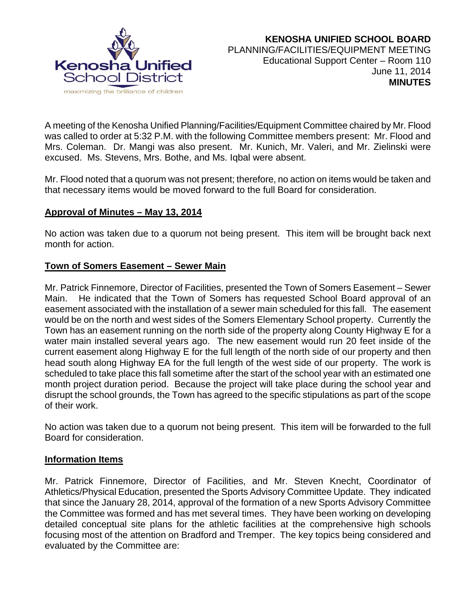

A meeting of the Kenosha Unified Planning/Facilities/Equipment Committee chaired by Mr. Flood was called to order at 5:32 P.M. with the following Committee members present: Mr. Flood and Mrs. Coleman. Dr. Mangi was also present. Mr. Kunich, Mr. Valeri, and Mr. Zielinski were excused. Ms. Stevens, Mrs. Bothe, and Ms. Iqbal were absent.

Mr. Flood noted that a quorum was not present; therefore, no action on items would be taken and that necessary items would be moved forward to the full Board for consideration.

### **Approval of Minutes – May 13, 2014**

No action was taken due to a quorum not being present. This item will be brought back next month for action.

## **Town of Somers Easement – Sewer Main**

Mr. Patrick Finnemore, Director of Facilities, presented the Town of Somers Easement – Sewer Main. He indicated that the Town of Somers has requested School Board approval of an easement associated with the installation of a sewer main scheduled for this fall. The easement would be on the north and west sides of the Somers Elementary School property. Currently the Town has an easement running on the north side of the property along County Highway E for a water main installed several years ago. The new easement would run 20 feet inside of the current easement along Highway E for the full length of the north side of our property and then head south along Highway EA for the full length of the west side of our property. The work is scheduled to take place this fall sometime after the start of the school year with an estimated one month project duration period. Because the project will take place during the school year and disrupt the school grounds, the Town has agreed to the specific stipulations as part of the scope of their work.

No action was taken due to a quorum not being present. This item will be forwarded to the full Board for consideration.

### **Information Items**

Mr. Patrick Finnemore, Director of Facilities, and Mr. Steven Knecht, Coordinator of Athletics/Physical Education, presented the Sports Advisory Committee Update. They indicated that since the January 28, 2014, approval of the formation of a new Sports Advisory Committee the Committee was formed and has met several times. They have been working on developing detailed conceptual site plans for the athletic facilities at the comprehensive high schools focusing most of the attention on Bradford and Tremper. The key topics being considered and evaluated by the Committee are: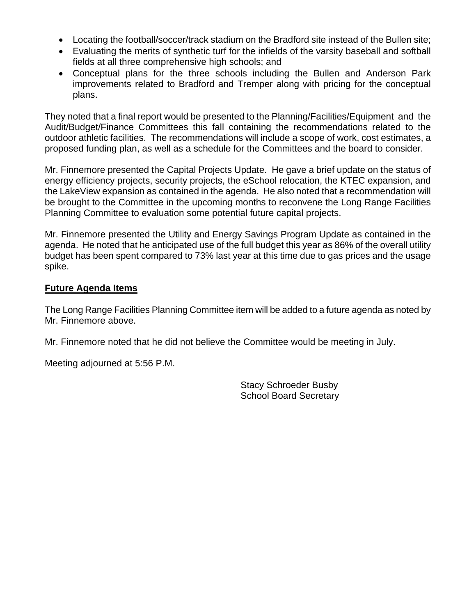- Locating the football/soccer/track stadium on the Bradford site instead of the Bullen site;
- Evaluating the merits of synthetic turf for the infields of the varsity baseball and softball fields at all three comprehensive high schools; and
- Conceptual plans for the three schools including the Bullen and Anderson Park improvements related to Bradford and Tremper along with pricing for the conceptual plans.

They noted that a final report would be presented to the Planning/Facilities/Equipment and the Audit/Budget/Finance Committees this fall containing the recommendations related to the outdoor athletic facilities. The recommendations will include a scope of work, cost estimates, a proposed funding plan, as well as a schedule for the Committees and the board to consider.

Mr. Finnemore presented the Capital Projects Update. He gave a brief update on the status of energy efficiency projects, security projects, the eSchool relocation, the KTEC expansion, and the LakeView expansion as contained in the agenda. He also noted that a recommendation will be brought to the Committee in the upcoming months to reconvene the Long Range Facilities Planning Committee to evaluation some potential future capital projects.

Mr. Finnemore presented the Utility and Energy Savings Program Update as contained in the agenda. He noted that he anticipated use of the full budget this year as 86% of the overall utility budget has been spent compared to 73% last year at this time due to gas prices and the usage spike.

### **Future Agenda Items**

The Long Range Facilities Planning Committee item will be added to a future agenda as noted by Mr. Finnemore above.

Mr. Finnemore noted that he did not believe the Committee would be meeting in July.

Meeting adjourned at 5:56 P.M.

 Stacy Schroeder Busby School Board Secretary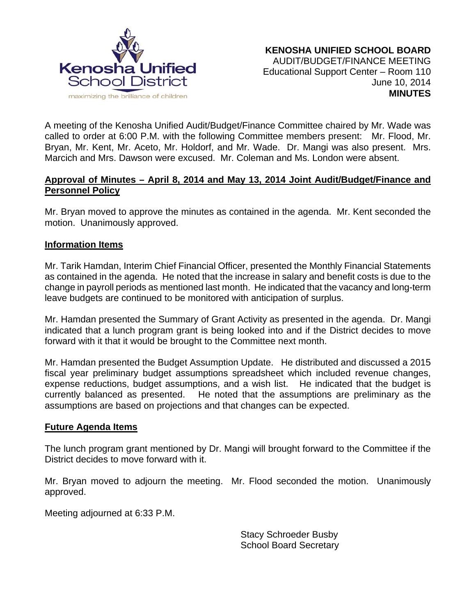

A meeting of the Kenosha Unified Audit/Budget/Finance Committee chaired by Mr. Wade was called to order at 6:00 P.M. with the following Committee members present: Mr. Flood, Mr. Bryan, Mr. Kent, Mr. Aceto, Mr. Holdorf, and Mr. Wade. Dr. Mangi was also present. Mrs. Marcich and Mrs. Dawson were excused. Mr. Coleman and Ms. London were absent.

## **Approval of Minutes – April 8, 2014 and May 13, 2014 Joint Audit/Budget/Finance and Personnel Policy**

Mr. Bryan moved to approve the minutes as contained in the agenda. Mr. Kent seconded the motion. Unanimously approved.

### **Information Items**

Mr. Tarik Hamdan, Interim Chief Financial Officer, presented the Monthly Financial Statements as contained in the agenda. He noted that the increase in salary and benefit costs is due to the change in payroll periods as mentioned last month. He indicated that the vacancy and long-term leave budgets are continued to be monitored with anticipation of surplus.

Mr. Hamdan presented the Summary of Grant Activity as presented in the agenda. Dr. Mangi indicated that a lunch program grant is being looked into and if the District decides to move forward with it that it would be brought to the Committee next month.

Mr. Hamdan presented the Budget Assumption Update. He distributed and discussed a 2015 fiscal year preliminary budget assumptions spreadsheet which included revenue changes, expense reductions, budget assumptions, and a wish list. He indicated that the budget is currently balanced as presented. He noted that the assumptions are preliminary as the assumptions are based on projections and that changes can be expected.

### **Future Agenda Items**

The lunch program grant mentioned by Dr. Mangi will brought forward to the Committee if the District decides to move forward with it.

Mr. Bryan moved to adjourn the meeting. Mr. Flood seconded the motion. Unanimously approved.

Meeting adjourned at 6:33 P.M.

Stacy Schroeder Busby School Board Secretary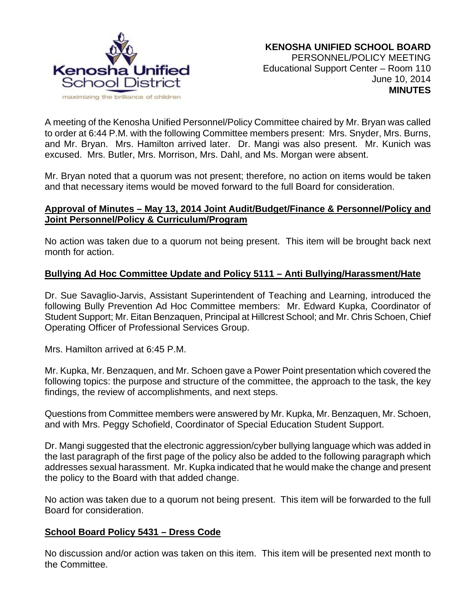

A meeting of the Kenosha Unified Personnel/Policy Committee chaired by Mr. Bryan was called to order at 6:44 P.M. with the following Committee members present: Mrs. Snyder, Mrs. Burns, and Mr. Bryan. Mrs. Hamilton arrived later. Dr. Mangi was also present. Mr. Kunich was excused. Mrs. Butler, Mrs. Morrison, Mrs. Dahl, and Ms. Morgan were absent.

Mr. Bryan noted that a quorum was not present; therefore, no action on items would be taken and that necessary items would be moved forward to the full Board for consideration.

## **Approval of Minutes – May 13, 2014 Joint Audit/Budget/Finance & Personnel/Policy and Joint Personnel/Policy & Curriculum/Program**

No action was taken due to a quorum not being present. This item will be brought back next month for action.

## **Bullying Ad Hoc Committee Update and Policy 5111 – Anti Bullying/Harassment/Hate**

Dr. Sue Savaglio-Jarvis, Assistant Superintendent of Teaching and Learning, introduced the following Bully Prevention Ad Hoc Committee members: Mr. Edward Kupka, Coordinator of Student Support; Mr. Eitan Benzaquen, Principal at Hillcrest School; and Mr. Chris Schoen, Chief Operating Officer of Professional Services Group.

Mrs. Hamilton arrived at 6:45 P.M.

Mr. Kupka, Mr. Benzaquen, and Mr. Schoen gave a Power Point presentation which covered the following topics: the purpose and structure of the committee, the approach to the task, the key findings, the review of accomplishments, and next steps.

Questions from Committee members were answered by Mr. Kupka, Mr. Benzaquen, Mr. Schoen, and with Mrs. Peggy Schofield, Coordinator of Special Education Student Support.

Dr. Mangi suggested that the electronic aggression/cyber bullying language which was added in the last paragraph of the first page of the policy also be added to the following paragraph which addresses sexual harassment. Mr. Kupka indicated that he would make the change and present the policy to the Board with that added change.

No action was taken due to a quorum not being present. This item will be forwarded to the full Board for consideration.

### **School Board Policy 5431 – Dress Code**

No discussion and/or action was taken on this item. This item will be presented next month to the Committee.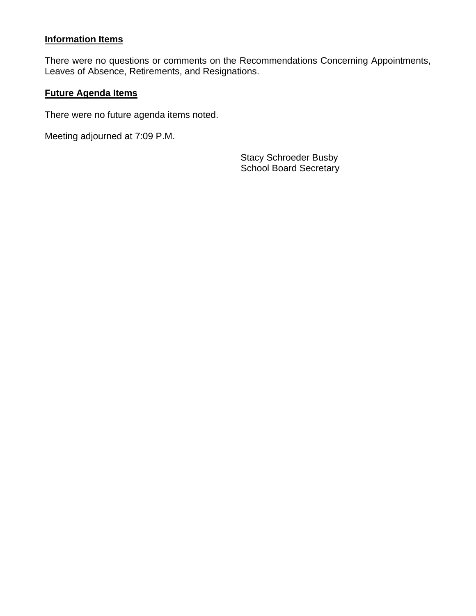# **Information Items**

There were no questions or comments on the Recommendations Concerning Appointments, Leaves of Absence, Retirements, and Resignations.

### **Future Agenda Items**

There were no future agenda items noted.

Meeting adjourned at 7:09 P.M.

Stacy Schroeder Busby School Board Secretary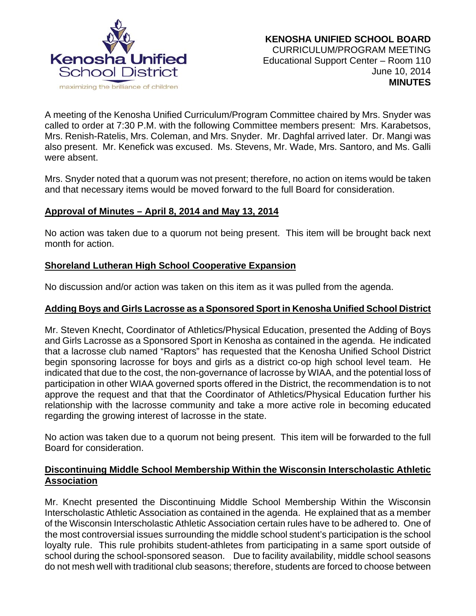

A meeting of the Kenosha Unified Curriculum/Program Committee chaired by Mrs. Snyder was called to order at 7:30 P.M. with the following Committee members present: Mrs. Karabetsos, Mrs. Renish-Ratelis, Mrs. Coleman, and Mrs. Snyder. Mr. Daghfal arrived later. Dr. Mangi was also present. Mr. Kenefick was excused. Ms. Stevens, Mr. Wade, Mrs. Santoro, and Ms. Galli were absent.

Mrs. Snyder noted that a quorum was not present; therefore, no action on items would be taken and that necessary items would be moved forward to the full Board for consideration.

## **Approval of Minutes – April 8, 2014 and May 13, 2014**

No action was taken due to a quorum not being present. This item will be brought back next month for action.

## **Shoreland Lutheran High School Cooperative Expansion**

No discussion and/or action was taken on this item as it was pulled from the agenda.

### **Adding Boys and Girls Lacrosse as a Sponsored Sport in Kenosha Unified School District**

Mr. Steven Knecht, Coordinator of Athletics/Physical Education, presented the Adding of Boys and Girls Lacrosse as a Sponsored Sport in Kenosha as contained in the agenda. He indicated that a lacrosse club named "Raptors" has requested that the Kenosha Unified School District begin sponsoring lacrosse for boys and girls as a district co-op high school level team. He indicated that due to the cost, the non-governance of lacrosse by WIAA, and the potential loss of participation in other WIAA governed sports offered in the District, the recommendation is to not approve the request and that that the Coordinator of Athletics/Physical Education further his relationship with the lacrosse community and take a more active role in becoming educated regarding the growing interest of lacrosse in the state.

No action was taken due to a quorum not being present. This item will be forwarded to the full Board for consideration.

## **Discontinuing Middle School Membership Within the Wisconsin Interscholastic Athletic Association**

Mr. Knecht presented the Discontinuing Middle School Membership Within the Wisconsin Interscholastic Athletic Association as contained in the agenda. He explained that as a member of the Wisconsin Interscholastic Athletic Association certain rules have to be adhered to. One of the most controversial issues surrounding the middle school student's participation is the school loyalty rule. This rule prohibits student-athletes from participating in a same sport outside of school during the school-sponsored season. Due to facility availability, middle school seasons do not mesh well with traditional club seasons; therefore, students are forced to choose between